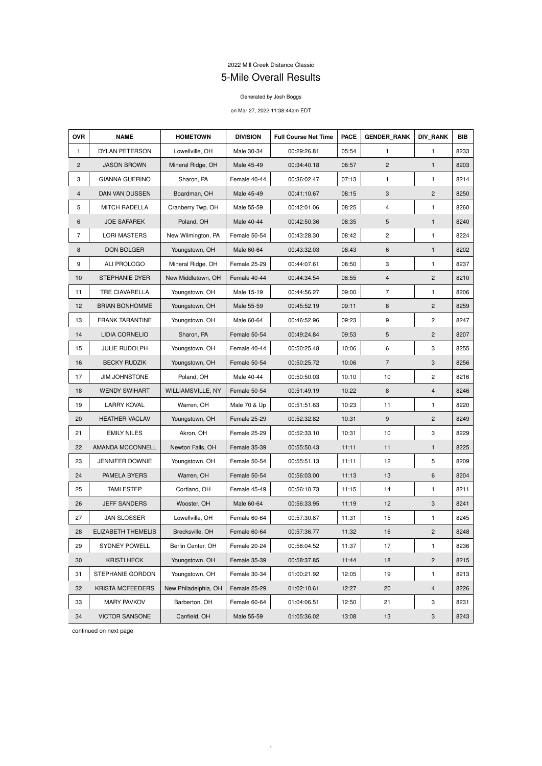## 2022 Mill Creek Distance Classic 5-Mile Overall Results

## Generated by Josh Boggs

## on Mar 27, 2022 11:38:44am EDT

| <b>OVR</b>     | <b>NAME</b>             | <b>HOMETOWN</b>      | <b>DIVISION</b> | <b>Full Course Net Time</b> | <b>PACE</b> | <b>GENDER_RANK</b> | <b>DIV RANK</b>           | <b>BIB</b> |
|----------------|-------------------------|----------------------|-----------------|-----------------------------|-------------|--------------------|---------------------------|------------|
| 1              | DYLAN PETERSON          | Lowellville, OH      | Male 30-34      | 00:29:26.81                 | 05:54       | 1                  | $\mathbf{1}$              | 8233       |
| $\overline{2}$ | <b>JASON BROWN</b>      | Mineral Ridge, OH    | Male 45-49      | 00:34:40.18                 | 06:57       | $\overline{c}$     | $\mathbf{1}$              | 8203       |
| 3              | <b>GIANNA GUERINO</b>   | Sharon, PA           | Female 40-44    | 00:36:02.47                 | 07:13       | 1                  | 1                         | 8214       |
| 4              | DAN VAN DUSSEN          | Boardman, OH         | Male 45-49      | 00:41:10.67                 | 08:15       | 3                  | $\overline{2}$            | 8250       |
| 5              | <b>MITCH RADELLA</b>    | Cranberry Twp, OH    | Male 55-59      | 00:42:01.06                 | 08:25       | 4                  | $\mathbf{1}$              | 8260       |
| 6              | <b>JOE SAFAREK</b>      | Poland, OH           | Male 40-44      | 00:42:50.36                 | 08:35       | 5                  | $\mathbf{1}$              | 8240       |
| $\overline{7}$ | <b>LORI MASTERS</b>     | New Wilmington, PA   | Female 50-54    | 00:43:28.30                 | 08:42       | $\overline{c}$     | $\mathbf{1}$              | 8224       |
| 8              | <b>DON BOLGER</b>       | Youngstown, OH       | Male 60-64      | 00:43:32.03                 | 08:43       | 6                  | $\mathbf{1}$              | 8202       |
| 9              | ALI PROLOGO             | Mineral Ridge, OH    | Female 25-29    | 00:44:07.61                 | 08:50       | 3                  | 1                         | 8237       |
| 10             | STEPHANIE DYER          | New Middletown, OH   | Female 40-44    | 00:44:34.54                 | 08:55       | $\overline{4}$     | $\overline{2}$            | 8210       |
| 11             | TRE CIAVARELLA          | Youngstown, OH       | Male 15-19      | 00:44:56.27                 | 09:00       | $\overline{7}$     | $\mathbf{1}$              | 8206       |
| 12             | <b>BRIAN BONHOMME</b>   | Youngstown, OH       | Male 55-59      | 00:45:52.19                 | 09:11       | 8                  | $\overline{2}$            | 8259       |
| 13             | <b>FRANK TARANTINE</b>  | Youngstown, OH       | Male 60-64      | 00:46:52.96                 | 09:23       | 9                  | $\mathbf{2}$              | 8247       |
| 14             | LIDIA CORNELIO          | Sharon, PA           | Female 50-54    | 00:49:24.84                 | 09:53       | 5                  | $\overline{2}$            | 8207       |
| 15             | <b>JULIE RUDOLPH</b>    | Youngstown, OH       | Female 40-44    | 00:50:25.48                 | 10:06       | 6                  | 3                         | 8255       |
| 16             | <b>BECKY RUDZIK</b>     | Youngstown, OH       | Female 50-54    | 00:50:25.72                 | 10:06       | $\overline{7}$     | 3                         | 8256       |
| 17             | <b>JIM JOHNSTONE</b>    | Poland, OH           | Male 40-44      | 00:50:50.03                 | 10:10       | 10                 | $\overline{c}$            | 8216       |
| 18             | <b>WENDY SWIHART</b>    | WILLIAMSVILLE, NY    | Female 50-54    | 00:51:49.19                 | 10:22       | 8                  | $\overline{4}$            | 8246       |
| 19             | <b>LARRY KOVAL</b>      | Warren, OH           | Male 70 & Up    | 00:51:51.63                 | 10:23       | 11                 | $\mathbf{1}$              | 8220       |
| 20             | <b>HEATHER VACLAV</b>   | Youngstown, OH       | Female 25-29    | 00:52:32.82                 | 10:31       | 9                  | $\mathbf{2}$              | 8249       |
| 21             | <b>EMILY NILES</b>      | Akron, OH            | Female 25-29    | 00:52:33.10                 | 10:31       | 10                 | $\mathbf{3}$              | 8229       |
| 22             | AMANDA MCCONNELL        | Newton Falls, OH     | Female 35-39    | 00:55:50.43                 | 11:11       | 11                 | $\mathbf{1}$              | 8225       |
| 23             | <b>JENNIFER DOWNIE</b>  | Youngstown, OH       | Female 50-54    | 00:55:51.13                 | 11:11       | 12                 | 5                         | 8209       |
| 24             | PAMELA BYERS            | Warren, OH           | Female 50-54    | 00:56:03.00                 | 11:13       | 13                 | 6                         | 8204       |
| 25             | <b>TAMI ESTEP</b>       | Cortland, OH         | Female 45-49    | 00:56:10.73                 | 11:15       | 14                 | $\mathbf{1}$              | 8211       |
| 26             | <b>JEFF SANDERS</b>     | Wooster, OH          | Male 60-64      | 00:56:33.95                 | 11:19       | 12                 | $\ensuremath{\mathsf{3}}$ | 8241       |
| 27             | <b>JAN SLOSSER</b>      | Lowellville, OH      | Female 60-64    | 00:57:30.87                 | 11:31       | 15                 | $\mathbf{1}$              | 8245       |
| 28             | ELIZABETH THEMELIS      | Brecksville, OH      | Female 60-64    | 00:57:36.77                 | 11:32       | 16                 | $\overline{2}$            | 8248       |
| 29             | <b>SYDNEY POWELL</b>    | Berlin Center, OH    | Female 20-24    | 00:58:04.52                 | 11:37       | 17                 | 1                         | 8236       |
| 30             | <b>KRISTI HECK</b>      | Youngstown, OH       | Female 35-39    | 00:58:37.85                 | 11:44       | 18                 | $\overline{2}$            | 8215       |
| 31             | STEPHANIE GORDON        | Youngstown, OH       | Female 30-34    | 01:00:21.92                 | 12:05       | 19                 | $\mathbf{1}$              | 8213       |
| 32             | <b>KRISTA MCFEEDERS</b> | New Philadelphia, OH | Female 25-29    | 01:02:10.61                 | 12:27       | 20                 | $\overline{4}$            | 8226       |
| 33             | <b>MARY PAVKOV</b>      | Barberton, OH        | Female 60-64    | 01:04:06.51                 | 12:50       | 21                 | $\ensuremath{\mathsf{3}}$ | 8231       |
| 34             | <b>VICTOR SANSONE</b>   | Canfield, OH         | Male 55-59      | 01:05:36.02                 | 13:08       | 13                 | $\ensuremath{\mathsf{3}}$ | 8243       |

continued on next page